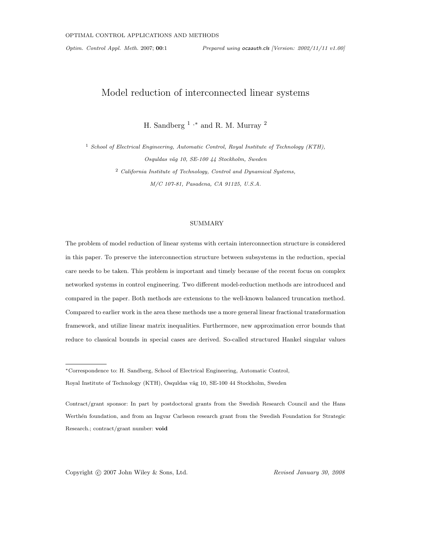Optim. Control Appl. Meth. 2007; 00:1 Prepared using ocaauth.cls [Version: 2002/11/11 v1.00]

# Model reduction of interconnected linear systems

H. Sandberg  $^1$  ,\* and R. M. Murray  $^2$ 

<sup>1</sup> School of Electrical Engineering, Automatic Control, Royal Institute of Technology (KTH), Osquldas väg 10, SE-100 44 Stockholm, Sweden  $2$  California Institute of Technology, Control and Dynamical Systems, M/C 107-81, Pasadena, CA 91125, U.S.A.

#### SUMMARY

The problem of model reduction of linear systems with certain interconnection structure is considered in this paper. To preserve the interconnection structure between subsystems in the reduction, special care needs to be taken. This problem is important and timely because of the recent focus on complex networked systems in control engineering. Two different model-reduction methods are introduced and compared in the paper. Both methods are extensions to the well-known balanced truncation method. Compared to earlier work in the area these methods use a more general linear fractional transformation framework, and utilize linear matrix inequalities. Furthermore, new approximation error bounds that reduce to classical bounds in special cases are derived. So-called structured Hankel singular values

Copyright © 2007 John Wiley & Sons, Ltd. Revised January 30, 2008

<sup>∗</sup>Correspondence to: H. Sandberg, School of Electrical Engineering, Automatic Control,

Royal Institute of Technology (KTH), Osquldas väg 10, SE-100 44 Stockholm, Sweden

Contract/grant sponsor: In part by postdoctoral grants from the Swedish Research Council and the Hans Werthén foundation, and from an Ingvar Carlsson research grant from the Swedish Foundation for Strategic Research.; contract/grant number: void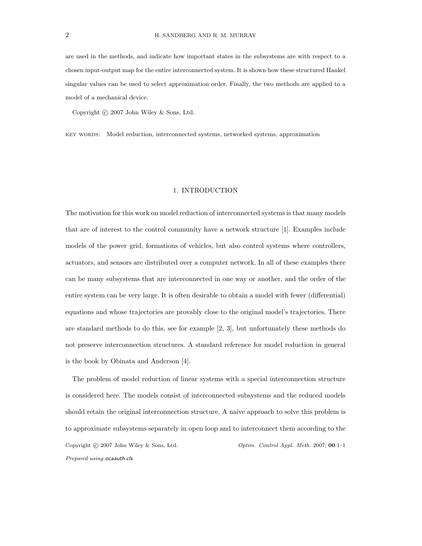are used in the methods, and indicate how important states in the subsystems are with respect to a chosen input-output map for the entire interconnected system. It is shown how these structured Hankel singular values can be used to select approximation order. Finally, the two methods are applied to a model of a mechanical device.

Copyright  $\odot$  2007 John Wiley & Sons, Ltd.

key words: Model reduction, interconnected systems, networked systems, approximation

### 1. INTRODUCTION

The motivation for this work on model reduction of interconnected systems is that many models that are of interest to the control community have a network structure [1]. Examples include models of the power grid, formations of vehicles, but also control systems where controllers, actuators, and sensors are distributed over a computer network. In all of these examples there can be many subsystems that are interconnected in one way or another, and the order of the entire system can be very large. It is often desirable to obtain a model with fewer (differential) equations and whose trajectories are provably close to the original model's trajectories. There are standard methods to do this, see for example [2, 3], but unfortunately these methods do not preserve interconnection structures. A standard reference for model reduction in general is the book by Obinata and Anderson [4].

The problem of model reduction of linear systems with a special interconnection structure is considered here. The models consist of interconnected subsystems and the reduced models should retain the original interconnection structure. A naive approach to solve this problem is to approximate subsystems separately in open loop and to interconnect them according to the Copyright  $\odot$  2007 John Wiley & Sons, Ltd.  $\qquad \qquad \qquad$  Optim. Control Appl. Meth. 2007; 00:1–1 Prepared using ocaauth.cls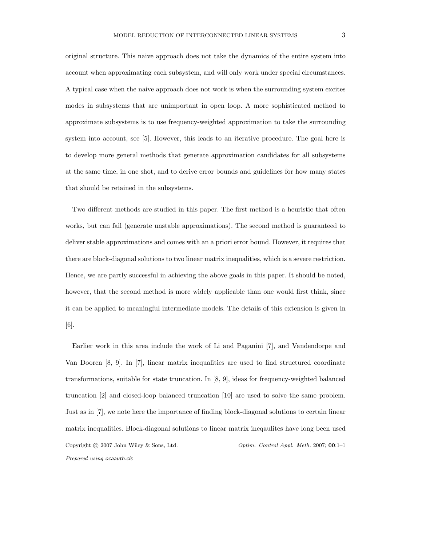original structure. This naive approach does not take the dynamics of the entire system into account when approximating each subsystem, and will only work under special circumstances. A typical case when the naive approach does not work is when the surrounding system excites modes in subsystems that are unimportant in open loop. A more sophisticated method to approximate subsystems is to use frequency-weighted approximation to take the surrounding system into account, see [5]. However, this leads to an iterative procedure. The goal here is to develop more general methods that generate approximation candidates for all subsystems at the same time, in one shot, and to derive error bounds and guidelines for how many states that should be retained in the subsystems.

Two different methods are studied in this paper. The first method is a heuristic that often works, but can fail (generate unstable approximations). The second method is guaranteed to deliver stable approximations and comes with an a priori error bound. However, it requires that there are block-diagonal solutions to two linear matrix inequalities, which is a severe restriction. Hence, we are partly successful in achieving the above goals in this paper. It should be noted, however, that the second method is more widely applicable than one would first think, since it can be applied to meaningful intermediate models. The details of this extension is given in [6].

Earlier work in this area include the work of Li and Paganini [7], and Vandendorpe and Van Dooren [8, 9]. In [7], linear matrix inequalities are used to find structured coordinate transformations, suitable for state truncation. In [8, 9], ideas for frequency-weighted balanced truncation [2] and closed-loop balanced truncation [10] are used to solve the same problem. Just as in [7], we note here the importance of finding block-diagonal solutions to certain linear matrix inequalities. Block-diagonal solutions to linear matrix ineqaulites have long been used Copyright  $\odot$  2007 John Wiley & Sons, Ltd.  $\qquad \qquad \qquad$  Optim. Control Appl. Meth. 2007; 00:1–1 Prepared using ocaauth.cls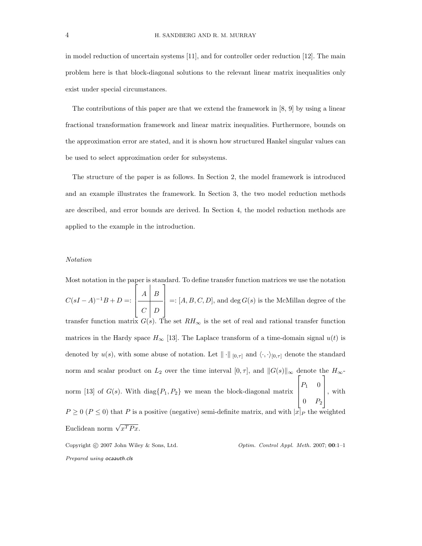in model reduction of uncertain systems [11], and for controller order reduction [12]. The main problem here is that block-diagonal solutions to the relevant linear matrix inequalities only exist under special circumstances.

The contributions of this paper are that we extend the framework in [8, 9] by using a linear fractional transformation framework and linear matrix inequalities. Furthermore, bounds on the approximation error are stated, and it is shown how structured Hankel singular values can be used to select approximation order for subsystems.

The structure of the paper is as follows. In Section 2, the model framework is introduced and an example illustrates the framework. In Section 3, the two model reduction methods are described, and error bounds are derived. In Section 4, the model reduction methods are applied to the example in the introduction.

#### Notation

Most notation in the paper is standard. To define transfer function matrices we use the notation  $C(sI - A)^{-1}B + D =$ Ĩ  $\Big\}$  $A \mid B$  $C \mid D$ 1  $\overline{\phantom{a}}$  $=:[A, B, C, D],$  and  $\deg G(s)$  is the McMillan degree of the transfer function matrix  $G(s)$ . The set  $RH_{\infty}$  is the set of real and rational transfer function matrices in the Hardy space  $H_{\infty}$  [13]. The Laplace transform of a time-domain signal  $u(t)$  is denoted by  $u(s)$ , with some abuse of notation. Let  $\|\cdot\|_{[0,\tau]}$  and  $\langle \cdot, \cdot \rangle_{[0,\tau]}$  denote the standard norm and scalar product on  $L_2$  over the time interval  $[0, \tau]$ , and  $||G(s)||_{\infty}$  denote the  $H_{\infty}$ norm [13] of  $G(s)$ . With diag $\{P_1, P_2\}$  we mean the block-diagonal matrix  $\sqrt{ }$   $P_1$  0  $0$   $P_2$ 1  $\Bigg\}$ , with  $P \ge 0$  ( $P \le 0$ ) that P is a positive (negative) semi-definite matrix, and with  $|x|_P$  the weighted Euclidean norm  $\sqrt{x^T P x}$ .

Copyright  $\odot$  2007 John Wiley & Sons, Ltd.  $\qquad \qquad$  Optim. Control Appl. Meth. 2007; 00:1–1 Prepared using ocaauth.cls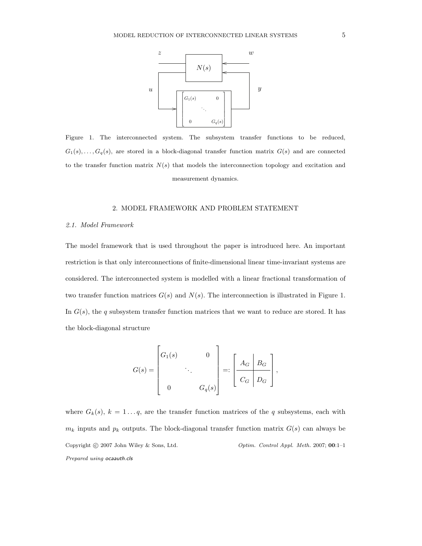

Figure 1. The interconnected system. The subsystem transfer functions to be reduced,  $G_1(s),...,G_q(s)$ , are stored in a block-diagonal transfer function matrix  $G(s)$  and are connected to the transfer function matrix  $N(s)$  that models the interconnection topology and excitation and measurement dynamics.

## 2. MODEL FRAMEWORK AND PROBLEM STATEMENT

#### 2.1. Model Framework

The model framework that is used throughout the paper is introduced here. An important restriction is that only interconnections of finite-dimensional linear time-invariant systems are considered. The interconnected system is modelled with a linear fractional transformation of two transfer function matrices  $G(s)$  and  $N(s)$ . The interconnection is illustrated in Figure 1. In  $G(s)$ , the q subsystem transfer function matrices that we want to reduce are stored. It has the block-diagonal structure

$$
G(s) = \begin{bmatrix} G_1(s) & & 0 \\ & \ddots & \\ & & G_q(s) \end{bmatrix} =: \left[ \begin{array}{c|c} A_G & B_G & \\ \hline C_G & D_G & \end{array} \right],
$$

where  $G_k(s)$ ,  $k = 1 \dots q$ , are the transfer function matrices of the q subsystems, each with  $m_k$  inputs and  $p_k$  outputs. The block-diagonal transfer function matrix  $G(s)$  can always be Copyright © 2007 John Wiley & Sons, Ltd.  $\qquad \qquad$  Optim. Control Appl. Meth. 2007; 00:1-1 Prepared using ocaauth.cls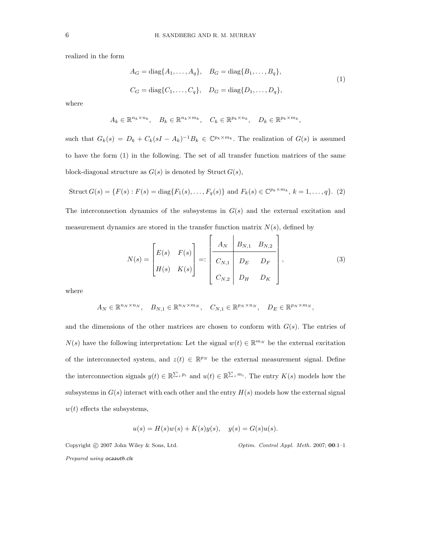realized in the form

$$
A_G = \text{diag}\{A_1, \dots, A_q\}, \quad B_G = \text{diag}\{B_1, \dots, B_q\},
$$
  

$$
C_G = \text{diag}\{C_1, \dots, C_q\}, \quad D_G = \text{diag}\{D_1, \dots, D_q\},
$$
  
(1)

where

$$
A_k \in \mathbb{R}^{n_k \times n_k}, \quad B_k \in \mathbb{R}^{n_k \times m_k}, \quad C_k \in \mathbb{R}^{p_k \times n_k}, \quad D_k \in \mathbb{R}^{p_k \times m_k},
$$

such that  $G_k(s) = D_k + C_k(sI - A_k)^{-1}B_k \in \mathbb{C}^{p_k \times m_k}$ . The realization of  $G(s)$  is assumed to have the form (1) in the following. The set of all transfer function matrices of the same block-diagonal structure as  $G(s)$  is denoted by Struct  $G(s)$ ,

$$
Struct\ G(s) = \{F(s) : F(s) = diag\{F_1(s), \dots, F_q(s)\} \text{ and } F_k(s) \in \mathbb{C}^{p_k \times m_k}, k = 1, \dots, q\}. \tag{2}
$$

The interconnection dynamics of the subsystems in  $G(s)$  and the external excitation and measurement dynamics are stored in the transfer function matrix  $N(s)$ , defined by

$$
N(s) = \begin{bmatrix} E(s) & F(s) \\ H(s) & K(s) \end{bmatrix} =: \begin{bmatrix} A_N & B_{N,1} & B_{N,2} \\ C_{N,1} & D_E & D_F \\ C_{N,2} & D_H & D_K \end{bmatrix},
$$
(3)

where

$$
A_N \in \mathbb{R}^{n_N \times n_N}, \quad B_{N,1} \in \mathbb{R}^{n_N \times m_N}, \quad C_{N,1} \in \mathbb{R}^{p_N \times n_N}, \quad D_E \in \mathbb{R}^{p_N \times m_N},
$$

and the dimensions of the other matrices are chosen to conform with  $G(s)$ . The entries of  $N(s)$  have the following interpretation: Let the signal  $w(t) \in \mathbb{R}^{m_N}$  be the external excitation of the interconnected system, and  $z(t) \in \mathbb{R}^{p_N}$  be the external measurement signal. Define the interconnection signals  $y(t) \in \mathbb{R}^{\sum_i p_i}$  and  $u(t) \in \mathbb{R}^{\sum_i m_i}$ . The entry  $K(s)$  models how the subsystems in  $G(s)$  interact with each other and the entry  $H(s)$  models how the external signal  $w(t)$  effects the subsystems,

$$
u(s) = H(s)w(s) + K(s)y(s), \quad y(s) = G(s)u(s).
$$

Copyright  $\odot$  2007 John Wiley & Sons, Ltd.  $\qquad \qquad$  Optim. Control Appl. Meth. 2007; 00:1–1 Prepared using ocaauth.cls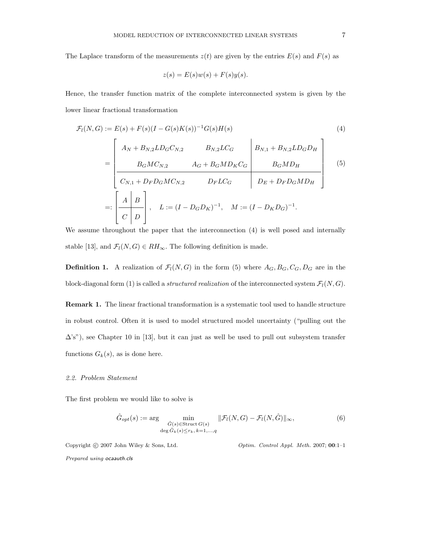The Laplace transform of the measurements  $z(t)$  are given by the entries  $E(s)$  and  $F(s)$  as

$$
z(s) = E(s)w(s) + F(s)y(s).
$$

Hence, the transfer function matrix of the complete interconnected system is given by the lower linear fractional transformation

$$
\mathcal{F}_{l}(N, G) := E(s) + F(s)(I - G(s)K(s))^{-1}G(s)H(s)
$$
\n
$$
= \begin{bmatrix}\nA_{N} + B_{N,2}LD_{G}C_{N,2} & B_{N,2}LC_{G} & B_{N,1} + B_{N,2}LD_{G}D_{H} \\
B_{G}MC_{N,2} & A_{G} + B_{G}MD_{K}C_{G} & B_{G}MD_{H} \\
C_{N,1} + D_{F}D_{G}MC_{N,2} & D_{F}LC_{G} & D_{F} + D_{F}D_{G}MD_{H}\n\end{bmatrix}
$$
\n
$$
=:\begin{bmatrix}\nA & B \\
C & D\n\end{bmatrix}, \quad L := (I - D_{G}D_{K})^{-1}, \quad M := (I - D_{K}D_{G})^{-1}.
$$
\n(4)

We assume throughout the paper that the interconnection (4) is well posed and internally stable [13], and  $\mathcal{F}_l(N, G) \in RH_\infty$ . The following definition is made.

**Definition 1.** A realization of  $\mathcal{F}_l(N, G)$  in the form (5) where  $A_G, B_G, C_G, D_G$  are in the block-diagonal form (1) is called a *structured realization* of the interconnected system  $\mathcal{F}_l(N, G)$ .

Remark 1. The linear fractional transformation is a systematic tool used to handle structure in robust control. Often it is used to model structured model uncertainty ("pulling out the  $\Delta$ 's"), see Chapter 10 in [13], but it can just as well be used to pull out subsystem transfer functions  $G_k(s)$ , as is done here.

### 2.2. Problem Statement

The first problem we would like to solve is

$$
\hat{G}_{opt}(s) := \arg \min_{\hat{G}(s) \in \text{Struct } G(s)} \|\mathcal{F}_l(N, G) - \mathcal{F}_l(N, \hat{G})\|_{\infty},
$$
\n
$$
\deg \hat{G}_k(s) \le r_k, k = 1, \dots, q
$$
\n(6)

Copyright © 2007 John Wiley & Sons, Ltd.  $\qquad \qquad \qquad$  Optim. Control Appl. Meth. 2007; 00:1-1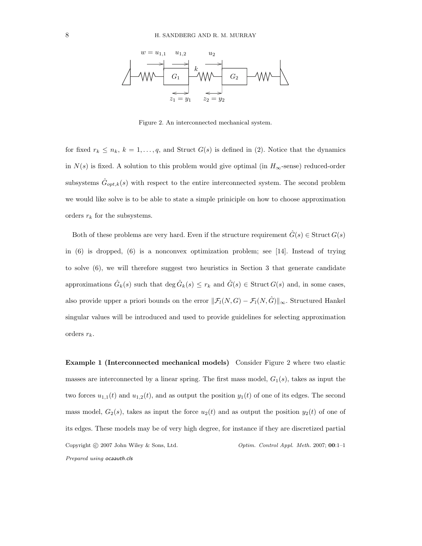

Figure 2. An interconnected mechanical system.

for fixed  $r_k \leq n_k$ ,  $k = 1, \ldots, q$ , and Struct  $G(s)$  is defined in (2). Notice that the dynamics in  $N(s)$  is fixed. A solution to this problem would give optimal (in  $H_{\infty}$ -sense) reduced-order subsystems  $\hat{G}_{opt,k}(s)$  with respect to the entire interconnected system. The second problem we would like solve is to be able to state a simple priniciple on how to choose approximation orders  $r_k$  for the subsystems.

Both of these problems are very hard. Even if the structure requirement  $\hat{G}(s) \in \text{Struct } G(s)$ in  $(6)$  is dropped,  $(6)$  is a nonconvex optimization problem; see [14]. Instead of trying to solve (6), we will therefore suggest two heuristics in Section 3 that generate candidate approximations  $\hat{G}_k(s)$  such that  $\deg \hat{G}_k(s) \leq r_k$  and  $\hat{G}(s) \in$  Struct  $G(s)$  and, in some cases, also provide upper a priori bounds on the error  $\|\mathcal{F}_l(N, G) - \mathcal{F}_l(N, \hat{G})\|_{\infty}$ . Structured Hankel singular values will be introduced and used to provide guidelines for selecting approximation orders  $r_k$ .

Example 1 (Interconnected mechanical models) Consider Figure 2 where two elastic masses are interconnected by a linear spring. The first mass model,  $G_1(s)$ , takes as input the two forces  $u_{1,1}(t)$  and  $u_{1,2}(t)$ , and as output the position  $y_1(t)$  of one of its edges. The second mass model,  $G_2(s)$ , takes as input the force  $u_2(t)$  and as output the position  $y_2(t)$  of one of its edges. These models may be of very high degree, for instance if they are discretized partial Copyright © 2007 John Wiley & Sons, Ltd.  $\qquad \qquad$  Optim. Control Appl. Meth. 2007; 00:1-1 Prepared using ocaauth.cls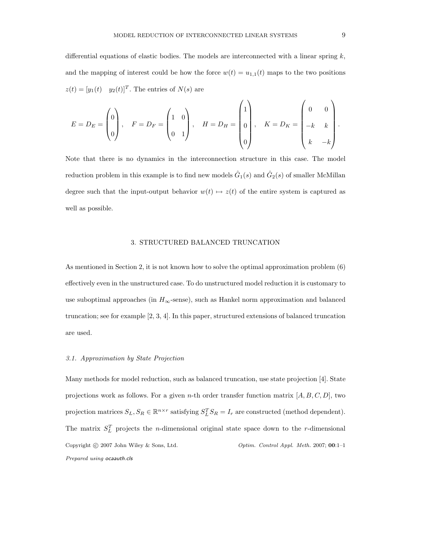differential equations of elastic bodies. The models are interconnected with a linear spring  $k$ , and the mapping of interest could be how the force  $w(t) = u_{1,1}(t)$  maps to the two positions  $z(t)=[y_1(t) \quad y_2(t)]^T$ . The entries of  $N(s)$  are

$$
E = D_E = \begin{pmatrix} 0 \\ 0 \\ 0 \end{pmatrix}, \quad F = D_F = \begin{pmatrix} 1 & 0 \\ 0 & 1 \end{pmatrix}, \quad H = D_H = \begin{pmatrix} 1 \\ 0 \\ 0 \\ 0 \end{pmatrix}, \quad K = D_K = \begin{pmatrix} 0 & 0 \\ -k & k \\ k & -k \end{pmatrix}.
$$

Note that there is no dynamics in the interconnection structure in this case. The model reduction problem in this example is to find new models  $\hat{G}_1(s)$  and  $\hat{G}_2(s)$  of smaller McMillan degree such that the input-output behavior  $w(t) \mapsto z(t)$  of the entire system is captured as well as possible.

## 3. STRUCTURED BALANCED TRUNCATION

As mentioned in Section 2, it is not known how to solve the optimal approximation problem (6) effectively even in the unstructured case. To do unstructured model reduction it is customary to use suboptimal approaches (in  $H_{\infty}$ -sense), such as Hankel norm approximation and balanced truncation; see for example [2, 3, 4]. In this paper, structured extensions of balanced truncation are used.

# 3.1. Approximation by State Projection

Many methods for model reduction, such as balanced truncation, use state projection [4]. State projections work as follows. For a given *n*-th order transfer function matrix  $[A, B, C, D]$ , two projection matrices  $S_L, S_R \in \mathbb{R}^{n \times r}$  satisfying  $S_L^T S_R = I_r$  are constructed (method dependent). The matrix  $S<sub>L</sub><sup>T</sup>$  projects the *n*-dimensional original state space down to the *r*-dimensional Copyright © 2007 John Wiley & Sons, Ltd.  $\qquad \qquad$  Optim. Control Appl. Meth. 2007; 00:1-1 Prepared using ocaauth.cls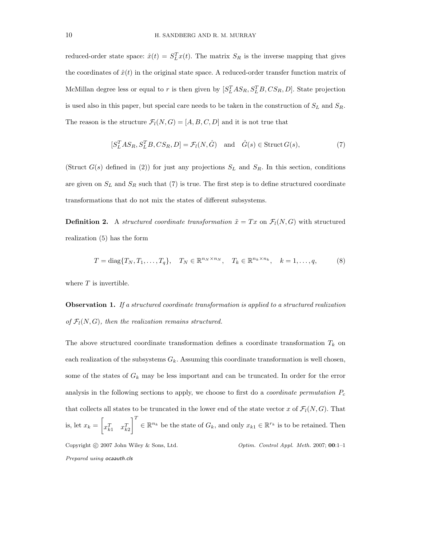reduced-order state space:  $\hat{x}(t) = S_L^T x(t)$ . The matrix  $S_R$  is the inverse mapping that gives the coordinates of  $\hat{x}(t)$  in the original state space. A reduced-order transfer function matrix of McMillan degree less or equal to r is then given by  $[S_L^T AS_R, S_L^T B, CS_R, D]$ . State projection is used also in this paper, but special care needs to be taken in the construction of  $S_L$  and  $S_R$ . The reason is the structure  $\mathcal{F}_l(N, G)=[A, B, C, D]$  and it is not true that

$$
[S_L^TAS_R, S_L^T B, CS_R, D] = \mathcal{F}_l(N, \hat{G}) \text{ and } \hat{G}(s) \in \text{Struct } G(s),
$$
\n(7)

(Struct  $G(s)$  defined in (2)) for just any projections  $S_L$  and  $S_R$ . In this section, conditions are given on  $S_L$  and  $S_R$  such that (7) is true. The first step is to define structured coordinate transformations that do not mix the states of different subsystems.

**Definition 2.** A structured coordinate transformation  $\tilde{x} = Tx$  on  $\mathcal{F}_l(N, G)$  with structured realization (5) has the form

$$
T = diag\{T_N, T_1, \dots, T_q\}, \quad T_N \in \mathbb{R}^{n_N \times n_N}, \quad T_k \in \mathbb{R}^{n_k \times n_k}, \quad k = 1, \dots, q,
$$
 (8)

where  $T$  is invertible.

Observation 1. If a structured coordinate transformation is applied to a structured realization of  $\mathcal{F}_l(N, G)$ , then the realization remains structured.

The above structured coordinate transformation defines a coordinate transformation  $T_k$  on each realization of the subsystems  $G_k$ . Assuming this coordinate transformation is well chosen, some of the states of  $G_k$  may be less important and can be truncated. In order for the error analysis in the following sections to apply, we choose to first do a *coordinate permutation*  $P_c$ that collects all states to be truncated in the lower end of the state vector x of  $\mathcal{F}_l(N, G)$ . That is, let  $x_k =$  $\sqrt{2}$  $x_{k1}^T$   $x_{k2}^T$  $\mathcal{I}^T$  $\in \mathbb{R}^{n_k}$  be the state of  $G_k$ , and only  $x_{k1} \in \mathbb{R}^{r_k}$  is to be retained. Then Copyright  $\odot$  2007 John Wiley & Sons, Ltd.  $\qquad \qquad \qquad$  Optim. Control Appl. Meth. 2007; 00:1–1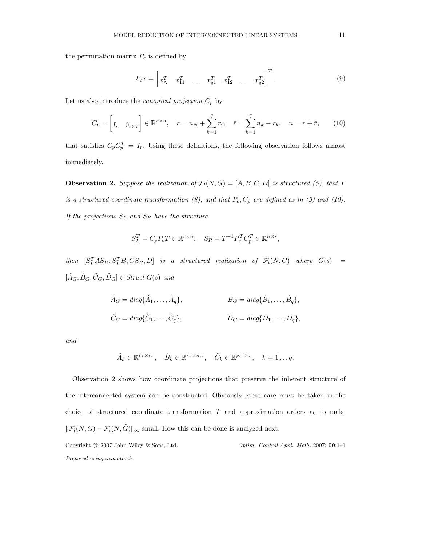the permutation matrix  $P_c$  is defined by

$$
P_c x = \begin{bmatrix} x_N^T & x_{11}^T & \dots & x_{q1}^T & x_{12}^T & \dots & x_{q2}^T \end{bmatrix}^T.
$$
 (9)

Let us also introduce the *canonical projection*  $C_p$  by

$$
C_p = \begin{bmatrix} I_r & 0_{r \times \bar{r}} \end{bmatrix} \in \mathbb{R}^{r \times n}, \quad r = n_N + \sum_{k=1}^q r_k, \quad \bar{r} = \sum_{k=1}^q n_k - r_k, \quad n = r + \bar{r}, \tag{10}
$$

that satisfies  $C_p C_p^T = I_r$ . Using these definitions, the following observation follows almost immediately.

**Observation 2.** Suppose the realization of  $\mathcal{F}_l(N, G)=[A, B, C, D]$  is structured (5), that T is a structured coordinate transformation  $(8)$ , and that  $P_c$ ,  $C_p$  are defined as in  $(9)$  and  $(10)$ . If the projections  $S_L$  and  $S_R$  have the structure

$$
S_L^T = C_p P_c T \in \mathbb{R}^{r \times n}, \quad S_R = T^{-1} P_c^T C_p^T \in \mathbb{R}^{n \times r},
$$

 $then \quad [S_L^TAS_R,S_L^TB,CS_R,D] \quad is \quad a \quad structured \quad realization \quad of \quad \mathcal{F}_l(N,\hat{G}) \quad where \quad \hat{G}(s) \quad =$  $[\hat{A}_G, \hat{B}_G, \hat{C}_G, \hat{D}_G] \in$  Struct  $G(s)$  and

$$
\hat{A}_G = diag\{\hat{A}_1, \dots, \hat{A}_q\}, \qquad \hat{B}_G = diag\{\hat{B}_1, \dots, \hat{B}_q\},
$$
  

$$
\hat{C}_G = diag\{\hat{C}_1, \dots, \hat{C}_q\}, \qquad \hat{D}_G = diag\{D_1, \dots, D_q\},
$$

and

$$
\hat{A}_k \in \mathbb{R}^{r_k \times r_k}, \quad \hat{B}_k \in \mathbb{R}^{r_k \times m_k}, \quad \hat{C}_k \in \mathbb{R}^{p_k \times r_k}, \quad k = 1 \dots q.
$$

Observation 2 shows how coordinate projections that preserve the inherent structure of the interconnected system can be constructed. Obviously great care must be taken in the choice of structured coordinate transformation  $T$  and approximation orders  $r_k$  to make  $\|\mathcal{F}_l(N, G) - \mathcal{F}_l(N, \hat{G})\|_{\infty}$  small. How this can be done is analyzed next. Copyright  $\odot$  2007 John Wiley & Sons, Ltd.  $\qquad \qquad$  Optim. Control Appl. Meth. 2007; 00:1-1 Prepared using ocaauth.cls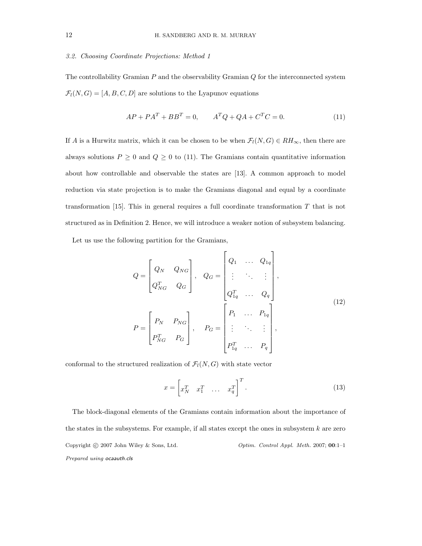#### 3.2. Choosing Coordinate Projections: Method 1

The controllability Gramian  $P$  and the observability Gramian  $Q$  for the interconnected system  $\mathcal{F}_l(N, G)=[A, B, C, D]$  are solutions to the Lyapunov equations

$$
AP + PA^{T} + BB^{T} = 0, \qquad A^{T}Q + QA + C^{T}C = 0.
$$
 (11)

If A is a Hurwitz matrix, which it can be chosen to be when  $\mathcal{F}_l(N, G) \in RH_\infty$ , then there are always solutions  $P \ge 0$  and  $Q \ge 0$  to (11). The Gramians contain quantitative information about how controllable and observable the states are [13]. A common approach to model reduction via state projection is to make the Gramians diagonal and equal by a coordinate transformation [15]. This in general requires a full coordinate transformation T that is not structured as in Definition 2. Hence, we will introduce a weaker notion of subsystem balancing.

Let us use the following partition for the Gramians,

$$
Q = \begin{bmatrix} Q_N & Q_{NG} \\ Q_{NG}^T & Q_G \end{bmatrix}, \quad Q_G = \begin{bmatrix} Q_1 & \dots & Q_{1q} \\ \vdots & \ddots & \vdots \\ Q_{1q}^T & \dots & Q_q \end{bmatrix},
$$
  
\n
$$
P = \begin{bmatrix} P_N & P_{NG} \\ P_{NG}^T & P_G \end{bmatrix}, \quad P_G = \begin{bmatrix} P_1 & \dots & P_{1q} \\ \vdots & \ddots & \vdots \\ P_{1q}^T & \dots & P_q \end{bmatrix},
$$
  
\n(12)

conformal to the structured realization of  $\mathcal{F}_l(N, G)$  with state vector

$$
x = \begin{bmatrix} x_N^T & x_1^T & \dots & x_q^T \end{bmatrix}^T.
$$
 (13)

The block-diagonal elements of the Gramians contain information about the importance of the states in the subsystems. For example, if all states except the ones in subsystem  $k$  are zero Copyright © 2007 John Wiley & Sons, Ltd.  $\qquad \qquad$  Optim. Control Appl. Meth. 2007; 00:1-1 Prepared using ocaauth.cls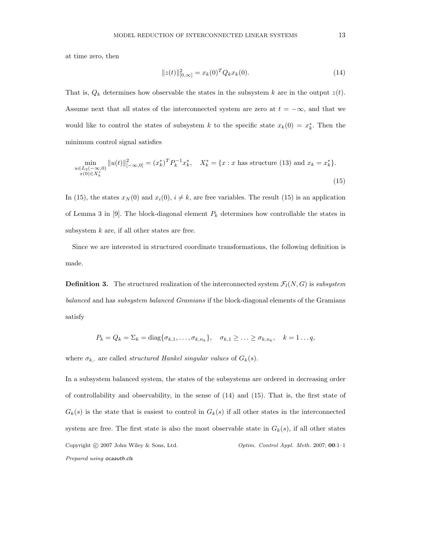at time zero, then

$$
||z(t)||_{[0,\infty]}^2 = x_k(0)^T Q_k x_k(0).
$$
\n(14)

That is,  $Q_k$  determines how observable the states in the subsystem k are in the output  $z(t)$ . Assume next that all states of the interconnected system are zero at  $t = -\infty$ , and that we would like to control the states of subsystem k to the specific state  $x_k(0) = x_k^*$ . Then the minimum control signal satisfies

$$
\min_{\substack{u \in L_2(-\infty,0) \\ x(0) \in X_k^*}} \|u(t)\|_{[-\infty,0]}^2 = (x_k^*)^T P_k^{-1} x_k^*, \quad X_k^* = \{x : x \text{ has structure (13) and } x_k = x_k^* \}. \tag{15}
$$

In (15), the states  $x_N(0)$  and  $x_i(0), i \neq k$ , are free variables. The result (15) is an application of Lemma 3 in [9]. The block-diagonal element  $P_k$  determines how controllable the states in subsystem  $k$  are, if all other states are free.

Since we are interested in structured coordinate transformations, the following definition is made.

**Definition 3.** The structured realization of the interconnected system  $\mathcal{F}_l(N, G)$  is subsystem balanced and has *subsystem balanced Gramians* if the block-diagonal elements of the Gramians satisfy

$$
P_k = Q_k = \sum_k = \text{diag}\{\sigma_{k,1},\ldots,\sigma_{k,n_k}\}, \quad \sigma_{k,1} \geq \ldots \geq \sigma_{k,n_k}, \quad k = 1 \ldots q,
$$

where  $\sigma_{k, \cdot}$  are called *structured Hankel singular values* of  $G_k(s)$ .

In a subsystem balanced system, the states of the subsystems are ordered in decreasing order of controllability and observability, in the sense of (14) and (15). That is, the first state of  $G_k(s)$  is the state that is easiest to control in  $G_k(s)$  if all other states in the interconnected system are free. The first state is also the most observable state in  $G_k(s)$ , if all other states Copyright © 2007 John Wiley & Sons, Ltd.  $\qquad \qquad$  Optim. Control Appl. Meth. 2007; 00:1-1 Prepared using ocaauth.cls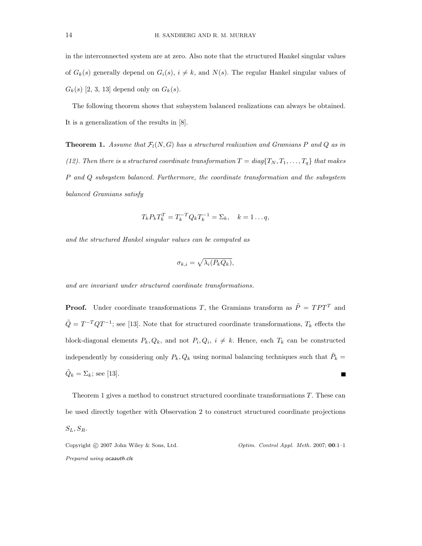in the interconnected system are at zero. Also note that the structured Hankel singular values of  $G_k(s)$  generally depend on  $G_i(s)$ ,  $i \neq k$ , and  $N(s)$ . The regular Hankel singular values of  $G_k(s)$  [2, 3, 13] depend only on  $G_k(s)$ .

The following theorem shows that subsystem balanced realizations can always be obtained. It is a generalization of the results in [8].

**Theorem 1.** Assume that  $\mathcal{F}_l(N, G)$  has a structured realization and Gramians P and Q as in (12). Then there is a structured coordinate transformation  $T = diag\{T_N, T_1, \ldots, T_q\}$  that makes P and Q subsystem balanced. Furthermore, the coordinate transformation and the subsystem balanced Gramians satisfy

$$
T_k P_k T_k^T = T_k^{-T} Q_k T_k^{-1} = \Sigma_k, \quad k = 1 \dots q,
$$

and the structured Hankel singular values can be computed as

$$
\sigma_{k,i} = \sqrt{\lambda_i (P_k Q_k)},
$$

and are invariant under structured coordinate transformations.

**Proof.** Under coordinate transformations T, the Gramians transform as  $\tilde{P} = TPT^{T}$  and  $\tilde{Q} = T^{-T}QT^{-1}$ ; see [13]. Note that for structured coordinate transformations,  $T_k$  effects the block-diagonal elements  $P_k, Q_k$ , and not  $P_i, Q_i, i \neq k$ . Hence, each  $T_k$  can be constructed independently by considering only  $P_k, Q_k$  using normal balancing techniques such that  $\tilde{P}_k =$  $\tilde{Q}_k = \Sigma_k$ ; see [13].  $\blacksquare$ 

Theorem 1 gives a method to construct structured coordinate transformations T. These can be used directly together with Observation 2 to construct structured coordinate projections  $S_L, S_R$ .

Copyright  $\odot$  2007 John Wiley & Sons, Ltd.  $\qquad \qquad$  Optim. Control Appl. Meth. 2007; 00:1–1 Prepared using ocaauth.cls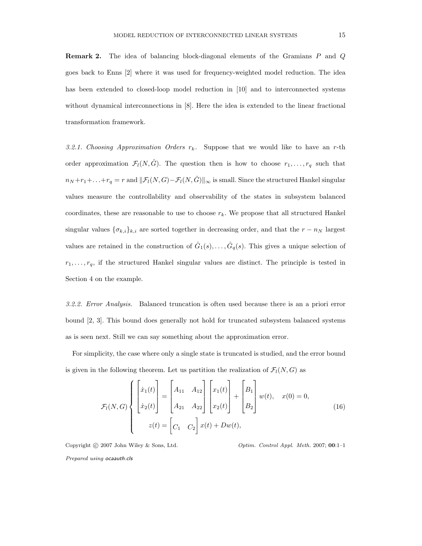Remark 2. The idea of balancing block-diagonal elements of the Gramians P and Q goes back to Enns [2] where it was used for frequency-weighted model reduction. The idea has been extended to closed-loop model reduction in [10] and to interconnected systems without dynamical interconnections in [8]. Here the idea is extended to the linear fractional transformation framework.

3.2.1. Choosing Approximation Orders  $r_k$ . Suppose that we would like to have an r-th order approximation  $\mathcal{F}_l(N, \hat{G})$ . The question then is how to choose  $r_1, \ldots, r_q$  such that  $n_N + r_1 + \ldots + r_q = r$  and  $||\mathcal{F}_l(N, G) - \mathcal{F}_l(N, \hat{G})||_{\infty}$  is small. Since the structured Hankel singular values measure the controllability and observability of the states in subsystem balanced coordinates, these are reasonable to use to choose  $r_k$ . We propose that all structured Hankel singular values  $\{\sigma_{k,i}\}_{k,i}$  are sorted together in decreasing order, and that the  $r - n_N$  largest values are retained in the construction of  $\hat{G}_1(s), \ldots, \hat{G}_q(s)$ . This gives a unique selection of  $r_1, \ldots, r_q$ , if the structured Hankel singular values are distinct. The principle is tested in Section 4 on the example.

3.2.2. Error Analysis. Balanced truncation is often used because there is an a priori error bound [2, 3]. This bound does generally not hold for truncated subsystem balanced systems as is seen next. Still we can say something about the approximation error.

For simplicity, the case where only a single state is truncated is studied, and the error bound is given in the following theorem. Let us partition the realization of  $\mathcal{F}_l(N, G)$  as

$$
\mathcal{F}_{l}(N, G) \left\{ \begin{bmatrix} \dot{x}_{1}(t) \\ \dot{x}_{2}(t) \end{bmatrix} = \begin{bmatrix} A_{11} & A_{12} \\ A_{21} & A_{22} \end{bmatrix} \begin{bmatrix} x_{1}(t) \\ x_{2}(t) \end{bmatrix} + \begin{bmatrix} B_{1} \\ B_{2} \end{bmatrix} w(t), \quad x(0) = 0, \\ z(t) = \begin{bmatrix} C_{1} & C_{2} \end{bmatrix} x(t) + Dw(t), \quad (16)
$$

Copyright © 2007 John Wiley & Sons, Ltd.  $Optim.$  Control Appl. Meth. 2007; 00:1–1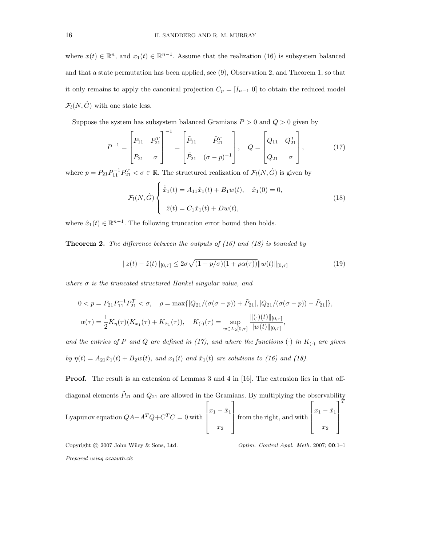where  $x(t) \in \mathbb{R}^n$ , and  $x_1(t) \in \mathbb{R}^{n-1}$ . Assume that the realization (16) is subsystem balanced and that a state permutation has been applied, see (9), Observation 2, and Theorem 1, so that it only remains to apply the canonical projection  $C_p = [I_{n-1} \ 0]$  to obtain the reduced model  $\mathcal{F}_l(N, \hat{G})$  with one state less.

Suppose the system has subsystem balanced Gramians  $P > 0$  and  $Q > 0$  given by

$$
P^{-1} = \begin{bmatrix} P_{11} & P_{21}^T \\ P_{21} & \sigma \end{bmatrix}^{-1} = \begin{bmatrix} \tilde{P}_{11} & \tilde{P}_{21}^T \\ \tilde{P}_{21} & (\sigma - p)^{-1} \end{bmatrix}, \quad Q = \begin{bmatrix} Q_{11} & Q_{21}^T \\ Q_{21} & \sigma \end{bmatrix}, \quad (17)
$$

where  $p = P_{21}P_{11}^{-1}P_{21}^T < \sigma \in \mathbb{R}$ . The structured realization of  $\mathcal{F}_l(N, \hat{G})$  is given by

$$
\mathcal{F}_l(N,\hat{G}) \begin{cases} \dot{\hat{x}}_1(t) = A_{11}\hat{x}_1(t) + B_1w(t), & \hat{x}_1(0) = 0, \\ \dot{z}(t) = C_1\hat{x}_1(t) + Dw(t), \end{cases}
$$
(18)

where  $\hat{x}_1(t) \in \mathbb{R}^{n-1}$ . The following truncation error bound then holds.

**Theorem 2.** The difference between the outputs of  $(16)$  and  $(18)$  is bounded by

$$
||z(t) - \hat{z}(t)||_{[0,\tau]} \le 2\sigma \sqrt{(1 - p/\sigma)(1 + \rho \alpha(\tau))} ||w(t)||_{[0,\tau]}
$$
(19)

where  $\sigma$  is the truncated structured Hankel singular value, and

$$
0 < p = P_{21} P_{11}^{-1} P_{21}^T < \sigma, \quad \rho = \max\{|Q_{21}/(\sigma(\sigma - p)) + \tilde{P}_{21}|, |Q_{21}/(\sigma(\sigma - p)) - \tilde{P}_{21}|\},
$$
\n
$$
\alpha(\tau) = \frac{1}{2} K_{\eta}(\tau) (K_{x_1}(\tau) + K_{\hat{x}_1}(\tau)), \quad K_{(\cdot)}(\tau) = \sup_{w \in L_2[0, \tau]} \frac{\| (\cdot)(t) \|_{[0, \tau]}}{\| w(t) \|_{[0, \tau]}},
$$

and the entries of P and Q are defined in (17), and where the functions (·) in  $K_{(·)}$  are given by  $\eta(t) = A_{21}\hat{x}_1(t) + B_2w(t)$ , and  $x_1(t)$  and  $\hat{x}_1(t)$  are solutions to (16) and (18).

**Proof.** The result is an extension of Lemmas 3 and 4 in [16]. The extension lies in that offdiagonal elements  $\tilde{P}_{21}$  and  $Q_{21}$  are allowed in the Gramians. By multiplying the observability Lyapunov equation  $QA + A^TQ + C^TC = 0$  with  $\sqrt{ }$  $\Big\}$  $x_1 - \hat{x}_1$  $\overline{x_2}$ 1  $\begin{matrix} \phantom{-} \end{matrix}$ from the right, and with  $\sqrt{ }$  $\Big\}$  $x_1 - \hat{x}_1$  $\overline{x_2}$ 1  $\Bigg\}$  $\tau$ 

Copyright  $\odot$  2007 John Wiley & Sons, Ltd.  $\qquad \qquad \qquad$  Optim. Control Appl. Meth. 2007; 00:1–1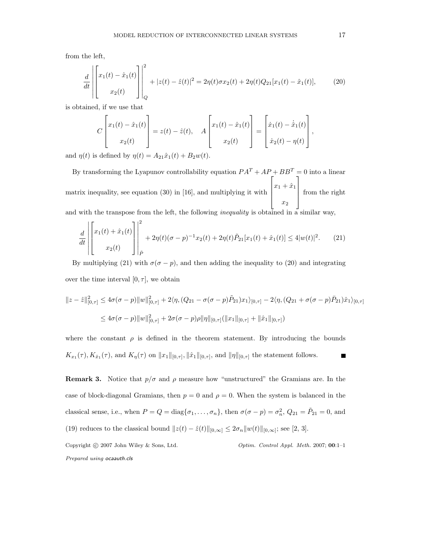from the left,

$$
\frac{d}{dt} \left| \begin{bmatrix} x_1(t) - \hat{x}_1(t) \\ x_2(t) \end{bmatrix} \right|^2 + |z(t) - \hat{z}(t)|^2 = 2\eta(t)\sigma x_2(t) + 2\eta(t)Q_{21}[x_1(t) - \hat{x}_1(t)], \tag{20}
$$

is obtained, if we use that

$$
C\begin{bmatrix} x_1(t) - \hat{x}_1(t) \\ x_2(t) \end{bmatrix} = z(t) - \hat{z}(t), \quad A\begin{bmatrix} x_1(t) - \hat{x}_1(t) \\ x_2(t) \end{bmatrix} = \begin{bmatrix} \dot{x}_1(t) - \dot{\hat{x}}_1(t) \\ \dot{x}_2(t) - \eta(t) \end{bmatrix},
$$

and  $\eta(t)$  is defined by  $\eta(t) = A_{21}\hat{x}_1(t) + B_2w(t)$ .

By transforming the Lyapunov controllability equation  $PA^T + AP + BB^T = 0$  into a linear matrix inequality, see equation (30) in [16], and multiplying it with  $\sqrt{ }$  $\Big\}$  $x_1 + \hat{x}_1$  $\overline{x_2}$ 1  $\begin{matrix} \phantom{-} \end{matrix}$ from the right

and with the transpose from the left, the following *inequality* is obtained in a similar way,

$$
\frac{d}{dt} \left| \begin{bmatrix} x_1(t) + \hat{x}_1(t) \\ x_2(t) \end{bmatrix} \right|^2_{\tilde{P}} + 2\eta(t)(\sigma - p)^{-1}x_2(t) + 2\eta(t)\tilde{P}_{21}[x_1(t) + \hat{x}_1(t)] \le 4|w(t)|^2. \tag{21}
$$

By multiplying (21) with  $\sigma(\sigma - p)$ , and then adding the inequality to (20) and integrating over the time interval  $[0, \tau]$ , we obtain

$$
||z - \hat{z}||_{[0,\tau]}^2 \le 4\sigma(\sigma - p) ||w||_{[0,\tau]}^2 + 2\langle \eta, (Q_{21} - \sigma(\sigma - p)\tilde{P}_{21})x_1 \rangle_{[0,\tau]} - 2\langle \eta, (Q_{21} + \sigma(\sigma - p)\tilde{P}_{21})\hat{x}_1 \rangle_{[0,\tau]}
$$
  

$$
\le 4\sigma(\sigma - p) ||w||_{[0,\tau]}^2 + 2\sigma(\sigma - p)\rho ||\eta||_{[0,\tau]} (||x_1||_{[0,\tau]} + ||\hat{x}_1||_{[0,\tau]})
$$

where the constant  $\rho$  is defined in the theorem statement. By introducing the bounds  $K_{x_1}(\tau), K_{\hat{x}_1}(\tau)$ , and  $K_{\eta}(\tau)$  on  $||x_1||_{[0,\tau]}, ||\hat{x}_1||_{[0,\tau]}$ , and  $||\eta||_{[0,\tau]}$  the statement follows. П

**Remark 3.** Notice that  $p/\sigma$  and  $\rho$  measure how "unstructured" the Gramians are. In the case of block-diagonal Gramians, then  $p = 0$  and  $\rho = 0$ . When the system is balanced in the classical sense, i.e., when  $P = Q = \text{diag}\{\sigma_1, \ldots, \sigma_n\}$ , then  $\sigma(\sigma - p) = \sigma_n^2$ ,  $Q_{21} = \tilde{P}_{21} = 0$ , and (19) reduces to the classical bound  $||z(t) - \hat{z}(t)||_{[0,\infty]} \leq 2\sigma_n ||w(t)||_{[0,\infty]}$ ; see [2, 3].

Copyright © 2007 John Wiley & Sons, Ltd.  $\qquad \qquad$  Optim. Control Appl. Meth. 2007; 00:1-1 Prepared using ocaauth.cls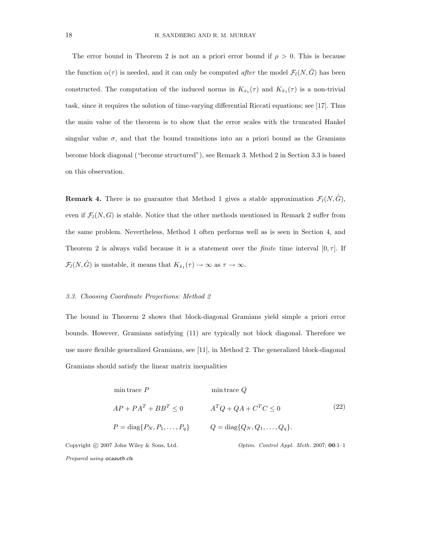The error bound in Theorem 2 is not an a priori error bound if  $\rho > 0$ . This is because the function  $\alpha(\tau)$  is needed, and it can only be computed *after* the model  $\mathcal{F}_l(N, \hat{G})$  has been constructed. The computation of the induced norms in  $K_{x_1}(\tau)$  and  $K_{\hat{x}_1}(\tau)$  is a non-trivial task, since it requires the solution of time-varying differential Riccati equations; see [17]. Thus the main value of the theorem is to show that the error scales with the truncated Hankel singular value  $\sigma$ , and that the bound transitions into an a priori bound as the Gramians become block diagonal ("become structured"), see Remark 3. Method 2 in Section 3.3 is based on this observation.

**Remark 4.** There is no guarantee that Method 1 gives a stable approximation  $\mathcal{F}_l(N, \hat{G})$ , even if  $\mathcal{F}_l(N, G)$  is stable. Notice that the other methods mentioned in Remark 2 suffer from the same problem. Nevertheless, Method 1 often performs well as is seen in Section 4, and Theorem 2 is always valid because it is a statement over the *finite* time interval  $[0, \tau]$ . If  $\mathcal{F}_l(N, \hat{G})$  is unstable, it means that  $K_{\hat{x}_1}(\tau) \to \infty$  as  $\tau \to \infty$ .

### 3.3. Choosing Coordinate Projections: Method 2

The bound in Theorem 2 shows that block-diagonal Gramians yield simple a priori error bounds. However, Gramians satisfying (11) are typically not block diagonal. Therefore we use more flexible generalized Gramians, see [11], in Method 2. The generalized block-diagonal Gramians should satisfy the linear matrix inequalities

$$
\begin{aligned}\n\min \text{trace } P & \min \text{trace } Q \\
AP + PA^T + BB^T &\leq 0 \\
P &= \text{diag}\{P_N, P_1, \dots, P_q\} & Q &= \text{diag}\{Q_N, Q_1, \dots, Q_q\}.\n\end{aligned}\n\tag{22}
$$

Copyright © 2007 John Wiley & Sons, Ltd.  $Optim.$  Control Appl. Meth. 2007; 00:1–1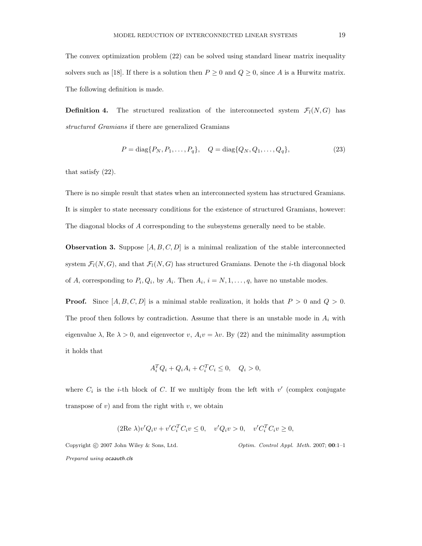The convex optimization problem (22) can be solved using standard linear matrix inequality solvers such as [18]. If there is a solution then  $P \ge 0$  and  $Q \ge 0$ , since A is a Hurwitz matrix. The following definition is made.

**Definition 4.** The structured realization of the interconnected system  $\mathcal{F}_l(N, G)$  has structured Gramians if there are generalized Gramians

$$
P = diag\{P_N, P_1, \dots, P_q\}, \quad Q = diag\{Q_N, Q_1, \dots, Q_q\},\tag{23}
$$

that satisfy (22).

There is no simple result that states when an interconnected system has structured Gramians. It is simpler to state necessary conditions for the existence of structured Gramians, however: The diagonal blocks of A corresponding to the subsystems generally need to be stable.

**Observation 3.** Suppose  $[A, B, C, D]$  is a minimal realization of the stable interconnected system  $\mathcal{F}_l(N, G)$ , and that  $\mathcal{F}_l(N, G)$  has structured Gramians. Denote the *i*-th diagonal block of A, corresponding to  $P_i, Q_i$ , by  $A_i$ . Then  $A_i$ ,  $i = N, 1, ..., q$ , have no unstable modes.

**Proof.** Since  $[A, B, C, D]$  is a minimal stable realization, it holds that  $P > 0$  and  $Q > 0$ . The proof then follows by contradiction. Assume that there is an unstable mode in  $A_i$  with eigenvalue  $\lambda$ , Re  $\lambda > 0$ , and eigenvector v,  $A_i v = \lambda v$ . By (22) and the minimality assumption it holds that

$$
A_i^T Q_i + Q_i A_i + C_i^T C_i \le 0, \quad Q_i > 0,
$$

where  $C_i$  is the *i*-th block of  $C$ . If we multiply from the left with  $v'$  (complex conjugate transpose of  $v$ ) and from the right with  $v$ , we obtain

$$
(2\text{Re }\lambda)v'Q_i v + v'C_i^T C_i v \le 0, \quad v'Q_i v > 0, \quad v'C_i^T C_i v \ge 0,
$$

Copyright © 2007 John Wiley & Sons, Ltd.  $Optim.$  Control Appl. Meth. 2007; 00:1-1 Prepared using ocaauth.cls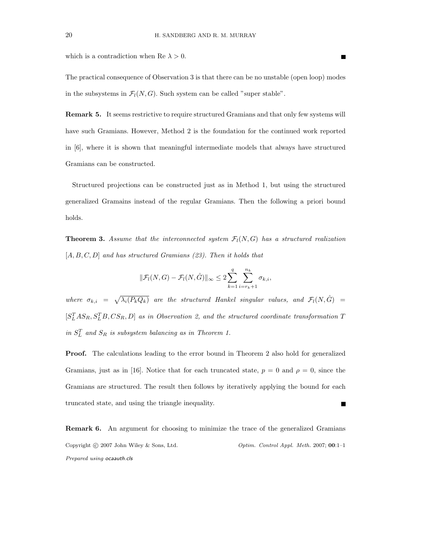which is a contradiction when Re  $\lambda > 0$ .

The practical consequence of Observation 3 is that there can be no unstable (open loop) modes in the subsystems in  $\mathcal{F}_l(N, G)$ . Such system can be called "super stable".

Remark 5. It seems restrictive to require structured Gramians and that only few systems will have such Gramians. However, Method 2 is the foundation for the continued work reported in [6], where it is shown that meaningful intermediate models that always have structured Gramians can be constructed.

Structured projections can be constructed just as in Method 1, but using the structured generalized Gramains instead of the regular Gramians. Then the following a priori bound holds.

**Theorem 3.** Assume that the interconnected system  $\mathcal{F}_l(N, G)$  has a structured realization  $[A, B, C, D]$  and has structured Gramians  $(23)$ . Then it holds that

$$
\|\mathcal{F}_l(N,G)-\mathcal{F}_l(N,\hat{G})\|_{\infty}\leq 2\sum_{k=1}^q\sum_{i=r_k+1}^{n_k}\sigma_{k,i},
$$

where  $\sigma_{k,i} = \sqrt{\lambda_i(P_kQ_k)}$  are the structured Hankel singular values, and  $\mathcal{F}_l(N, \hat{G})$  $[S<sub>L</sub><sup>T</sup>AS<sub>R</sub>, S<sub>L</sub><sup>T</sup>B, CS<sub>R</sub>, D]$  as in Observation 2, and the structured coordinate transformation T in  $S_L^T$  and  $S_R$  is subsystem balancing as in Theorem 1.

Proof. The calculations leading to the error bound in Theorem 2 also hold for generalized Gramians, just as in [16]. Notice that for each truncated state,  $p = 0$  and  $\rho = 0$ , since the Gramians are structured. The result then follows by iteratively applying the bound for each truncated state, and using the triangle inequality.

Remark 6. An argument for choosing to minimize the trace of the generalized Gramians Copyright  $\odot$  2007 John Wiley & Sons, Ltd.  $\qquad \qquad$  Optim. Control Appl. Meth. 2007; 00:1–1 Prepared using ocaauth.cls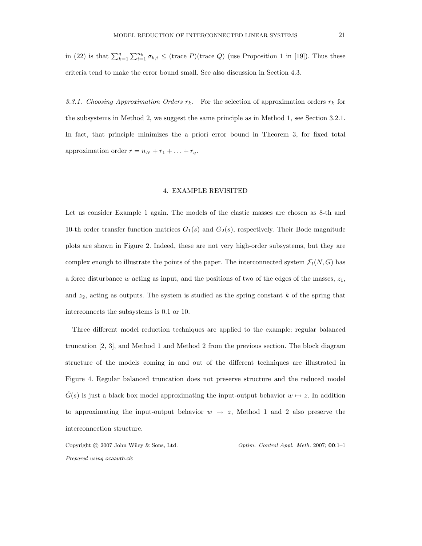in (22) is that  $\sum_{k=1}^q \sum_{i=1}^{n_k} \sigma_{k,i} \leq$  (trace P)(trace Q) (use Proposition 1 in [19]). Thus these criteria tend to make the error bound small. See also discussion in Section 4.3.

3.3.1. Choosing Approximation Orders  $r_k$ . For the selection of approximation orders  $r_k$  for the subsystems in Method 2, we suggest the same principle as in Method 1, see Section 3.2.1. In fact, that principle minimizes the a priori error bound in Theorem 3, for fixed total approximation order  $r = n_N + r_1 + \ldots + r_q$ .

#### 4. EXAMPLE REVISITED

Let us consider Example 1 again. The models of the elastic masses are chosen as 8-th and 10-th order transfer function matrices  $G_1(s)$  and  $G_2(s)$ , respectively. Their Bode magnitude plots are shown in Figure 2. Indeed, these are not very high-order subsystems, but they are complex enough to illustrate the points of the paper. The interconnected system  $\mathcal{F}_l(N, G)$  has a force disturbance w acting as input, and the positions of two of the edges of the masses,  $z_1$ , and  $z_2$ , acting as outputs. The system is studied as the spring constant  $k$  of the spring that interconnects the subsystems is 0.1 or 10.

Three different model reduction techniques are applied to the example: regular balanced truncation [2, 3], and Method 1 and Method 2 from the previous section. The block diagram structure of the models coming in and out of the different techniques are illustrated in Figure 4. Regular balanced truncation does not preserve structure and the reduced model  $G(s)$  is just a black box model approximating the input-output behavior  $w \mapsto z$ . In addition to approximating the input-output behavior  $w \mapsto z$ , Method 1 and 2 also preserve the interconnection structure.

Copyright  $\odot$  2007 John Wiley & Sons, Ltd.  $\qquad \qquad \qquad$  Optim. Control Appl. Meth. 2007; 00:1–1 Prepared using ocaauth.cls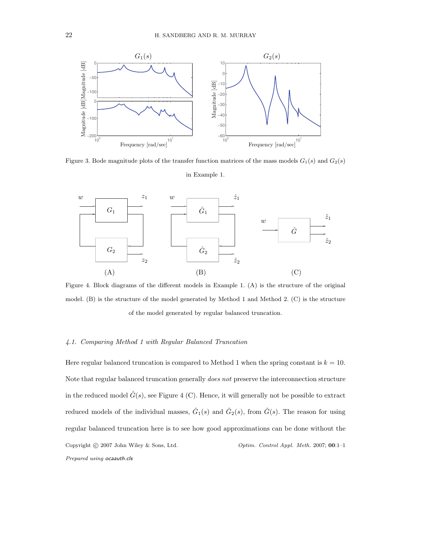

Figure 3. Bode magnitude plots of the transfer function matrices of the mass models  $G_1(s)$  and  $G_2(s)$ in Example 1.



Figure 4. Block diagrams of the different models in Example 1. (A) is the structure of the original model. (B) is the structure of the model generated by Method 1 and Method 2. (C) is the structure of the model generated by regular balanced truncation.

# 4.1. Comparing Method 1 with Regular Balanced Truncation

Here regular balanced truncation is compared to Method 1 when the spring constant is  $k = 10$ . Note that regular balanced truncation generally does not preserve the interconnection structure in the reduced model  $\hat{G}(s)$ , see Figure 4 (C). Hence, it will generally not be possible to extract reduced models of the individual masses,  $\hat{G}_1(s)$  and  $\hat{G}_2(s)$ , from  $\hat{G}(s)$ . The reason for using regular balanced truncation here is to see how good approximations can be done without the Copyright © 2007 John Wiley & Sons, Ltd.  $\qquad \qquad \qquad$  Optim. Control Appl. Meth. 2007; 00:1-1 Prepared using ocaauth.cls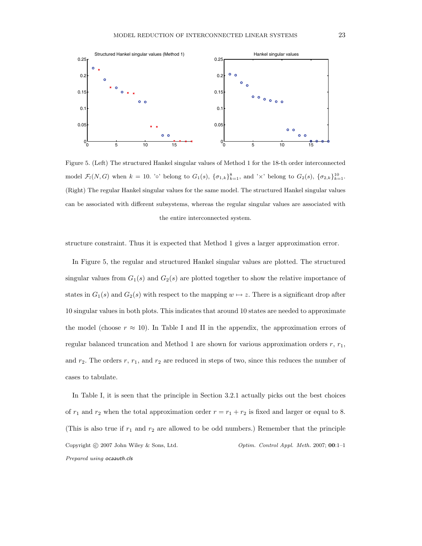

Figure 5. (Left) The structured Hankel singular values of Method 1 for the 18-th order interconnected model  $\mathcal{F}_l(N, G)$  when  $k = 10$ . '◦' belong to  $G_1(s)$ ,  $\{\sigma_{1,k}\}_{k=1}^8$ , and '×' belong to  $G_2(s)$ ,  $\{\sigma_{2,k}\}_{k=1}^{10}$ . (Right) The regular Hankel singular values for the same model. The structured Hankel singular values can be associated with different subsystems, whereas the regular singular values are associated with the entire interconnected system.

structure constraint. Thus it is expected that Method 1 gives a larger approximation error.

In Figure 5, the regular and structured Hankel singular values are plotted. The structured singular values from  $G_1(s)$  and  $G_2(s)$  are plotted together to show the relative importance of states in  $G_1(s)$  and  $G_2(s)$  with respect to the mapping  $w \mapsto z$ . There is a significant drop after 10 singular values in both plots. This indicates that around 10 states are needed to approximate the model (choose  $r \approx 10$ ). In Table I and II in the appendix, the approximation errors of regular balanced truncation and Method 1 are shown for various approximation orders  $r, r_1$ , and  $r_2$ . The orders r,  $r_1$ , and  $r_2$  are reduced in steps of two, since this reduces the number of cases to tabulate.

In Table I, it is seen that the principle in Section 3.2.1 actually picks out the best choices of  $r_1$  and  $r_2$  when the total approximation order  $r = r_1 + r_2$  is fixed and larger or equal to 8. (This is also true if  $r_1$  and  $r_2$  are allowed to be odd numbers.) Remember that the principle Copyright © 2007 John Wiley & Sons, Ltd.  $\qquad \qquad$  Optim. Control Appl. Meth. 2007; 00:1-1 Prepared using ocaauth.cls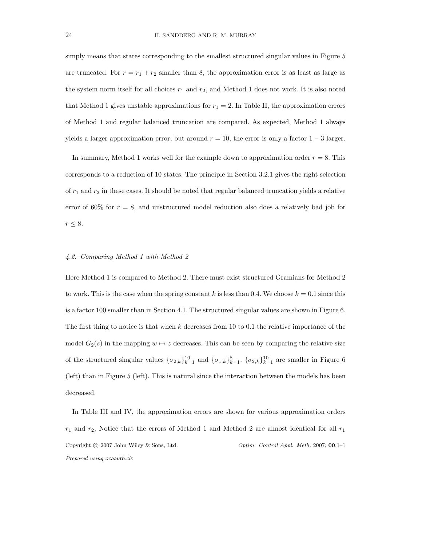simply means that states corresponding to the smallest structured singular values in Figure 5 are truncated. For  $r = r_1 + r_2$  smaller than 8, the approximation error is as least as large as the system norm itself for all choices  $r_1$  and  $r_2$ , and Method 1 does not work. It is also noted that Method 1 gives unstable approximations for  $r_1 = 2$ . In Table II, the approximation errors of Method 1 and regular balanced truncation are compared. As expected, Method 1 always yields a larger approximation error, but around  $r = 10$ , the error is only a factor  $1 - 3$  larger.

In summary, Method 1 works well for the example down to approximation order  $r = 8$ . This corresponds to a reduction of 10 states. The principle in Section 3.2.1 gives the right selection of  $r_1$  and  $r_2$  in these cases. It should be noted that regular balanced truncation yields a relative error of 60% for  $r = 8$ , and unstructured model reduction also does a relatively bad job for  $r\leq 8.$ 

### 4.2. Comparing Method 1 with Method 2

Here Method 1 is compared to Method 2. There must exist structured Gramians for Method 2 to work. This is the case when the spring constant k is less than 0.4. We choose  $k = 0.1$  since this is a factor 100 smaller than in Section 4.1. The structured singular values are shown in Figure 6. The first thing to notice is that when  $k$  decreases from 10 to 0.1 the relative importance of the model  $G_2(s)$  in the mapping  $w \mapsto z$  decreases. This can be seen by comparing the relative size of the structured singular values  $\{\sigma_{2,k}\}_{k=1}^{10}$  and  $\{\sigma_{1,k}\}_{k=1}^8$ .  $\{\sigma_{2,k}\}_{k=1}^{10}$  are smaller in Figure 6 (left) than in Figure 5 (left). This is natural since the interaction between the models has been decreased.

In Table III and IV, the approximation errors are shown for various approximation orders  $r_1$  and  $r_2$ . Notice that the errors of Method 1 and Method 2 are almost identical for all  $r_1$ Copyright © 2007 John Wiley & Sons, Ltd.  $\qquad \qquad$  Optim. Control Appl. Meth. 2007; 00:1-1 Prepared using ocaauth.cls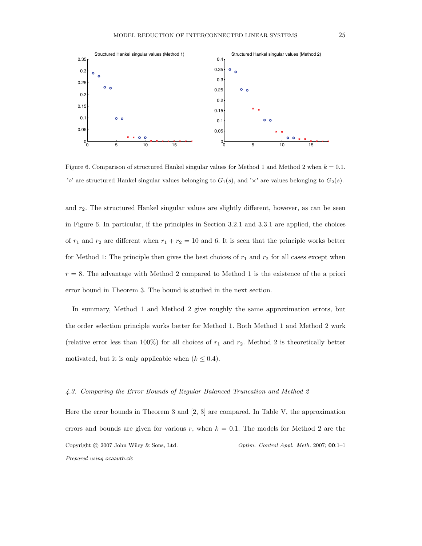

Figure 6. Comparison of structured Hankel singular values for Method 1 and Method 2 when  $k = 0.1$ . 'o' are structured Hankel singular values belonging to  $G_1(s)$ , and ' $\times$ ' are values belonging to  $G_2(s)$ .

and  $r<sub>2</sub>$ . The structured Hankel singular values are slightly different, however, as can be seen in Figure 6. In particular, if the principles in Section 3.2.1 and 3.3.1 are applied, the choices of  $r_1$  and  $r_2$  are different when  $r_1 + r_2 = 10$  and 6. It is seen that the principle works better for Method 1: The principle then gives the best choices of  $r_1$  and  $r_2$  for all cases except when  $r = 8$ . The advantage with Method 2 compared to Method 1 is the existence of the a priori error bound in Theorem 3. The bound is studied in the next section.

In summary, Method 1 and Method 2 give roughly the same approximation errors, but the order selection principle works better for Method 1. Both Method 1 and Method 2 work (relative error less than 100%) for all choices of  $r_1$  and  $r_2$ . Method 2 is theoretically better motivated, but it is only applicable when  $(k \leq 0.4)$ .

### 4.3. Comparing the Error Bounds of Regular Balanced Truncation and Method 2

Here the error bounds in Theorem 3 and [2, 3] are compared. In Table V, the approximation errors and bounds are given for various r, when  $k = 0.1$ . The models for Method 2 are the Copyright © 2007 John Wiley & Sons, Ltd.  $\qquad \qquad$  Optim. Control Appl. Meth. 2007; 00:1-1 Prepared using ocaauth.cls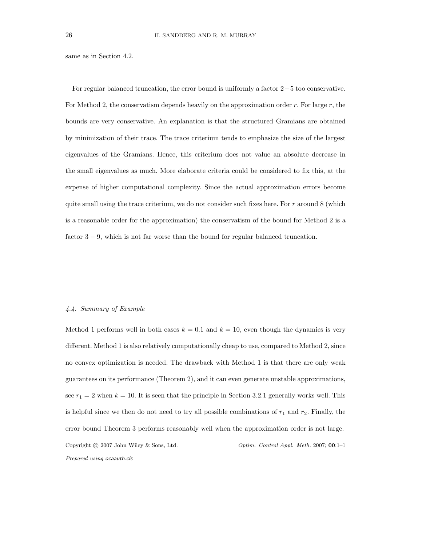same as in Section 4.2.

For regular balanced truncation, the error bound is uniformly a factor 2−5 too conservative. For Method 2, the conservatism depends heavily on the approximation order r. For large  $r$ , the bounds are very conservative. An explanation is that the structured Gramians are obtained by minimization of their trace. The trace criterium tends to emphasize the size of the largest eigenvalues of the Gramians. Hence, this criterium does not value an absolute decrease in the small eigenvalues as much. More elaborate criteria could be considered to fix this, at the expense of higher computational complexity. Since the actual approximation errors become quite small using the trace criterium, we do not consider such fixes here. For  $r$  around 8 (which is a reasonable order for the approximation) the conservatism of the bound for Method 2 is a factor  $3 - 9$ , which is not far worse than the bound for regular balanced truncation.

## 4.4. Summary of Example

Method 1 performs well in both cases  $k = 0.1$  and  $k = 10$ , even though the dynamics is very different. Method 1 is also relatively computationally cheap to use, compared to Method 2, since no convex optimization is needed. The drawback with Method 1 is that there are only weak guarantees on its performance (Theorem 2), and it can even generate unstable approximations, see  $r_1 = 2$  when  $k = 10$ . It is seen that the principle in Section 3.2.1 generally works well. This is helpful since we then do not need to try all possible combinations of  $r_1$  and  $r_2$ . Finally, the error bound Theorem 3 performs reasonably well when the approximation order is not large. Copyright © 2007 John Wiley & Sons, Ltd.  $\qquad \qquad$  Optim. Control Appl. Meth. 2007; 00:1-1 Prepared using ocaauth.cls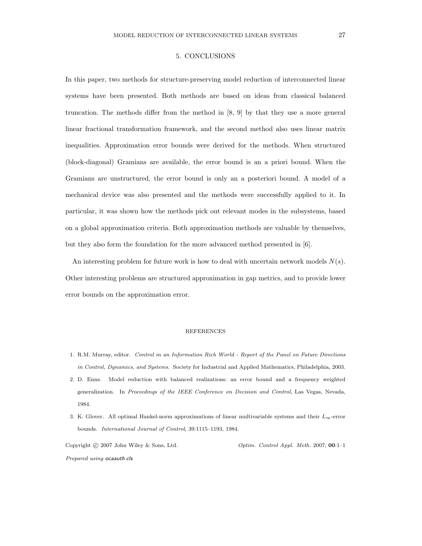# 5. CONCLUSIONS

In this paper, two methods for structure-preserving model reduction of interconnected linear systems have been presented. Both methods are based on ideas from classical balanced truncation. The methods differ from the method in [8, 9] by that they use a more general linear fractional transformation framework, and the second method also uses linear matrix inequalities. Approximation error bounds were derived for the methods. When structured (block-diagonal) Gramians are available, the error bound is an a priori bound. When the Gramians are unstructured, the error bound is only an a posteriori bound. A model of a mechanical device was also presented and the methods were successfully applied to it. In particular, it was shown how the methods pick out relevant modes in the subsystems, based on a global approximation criteria. Both approximation methods are valuable by themselves, but they also form the foundation for the more advanced method presented in [6].

An interesting problem for future work is how to deal with uncertain network models  $N(s)$ . Other interesting problems are structured approximation in gap metrics, and to provide lower error bounds on the approximation error.

#### **REFERENCES**

- 1. R.M. Murray, editor. Control in an Information Rich World Report of the Panel on Future Directions in Control, Dynamics, and Systems. Society for Industrial and Applied Mathematics, Philadelphia, 2003.
- 2. D. Enns. Model reduction with balanced realizations: an error bound and a frequency weighted generalization. In Proceedings of the IEEE Conference on Decision and Control, Las Vegas, Nevada, 1984.
- 3. K. Glover. All optimal Hankel-norm approximations of linear multivariable systems and their  $L_{\infty}$ -error bounds. International Journal of Control, 39:1115–1193, 1984.

Copyright  $\odot$  2007 John Wiley & Sons, Ltd.  $Optim.$  Control Appl. Meth. 2007; 00:1–1 Prepared using ocaauth.cls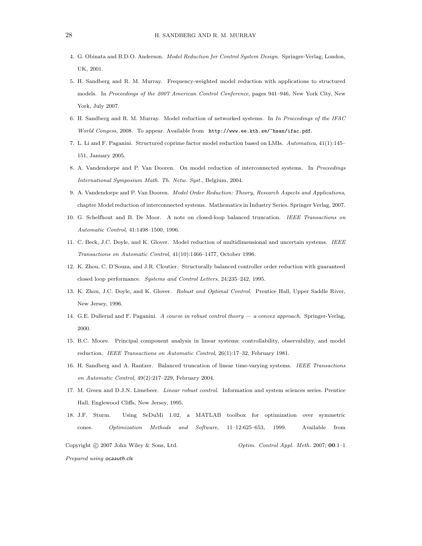- 4. G. Obinata and B.D.O. Anderson. Model Reduction for Control System Design. Springer-Verlag, London, UK, 2001.
- 5. H. Sandberg and R. M. Murray. Frequency-weighted model reduction with applications to structured models. In Proceedings of the 2007 American Control Conference, pages 941–946, New York City, New York, July 2007.
- 6. H. Sandberg and R. M. Murray. Model reduction of networked systems. In In Proccedings of the IFAC World Congess, 2008. To appear. Available from http://www.ee.kth.se/~hsan/ifac.pdf.
- 7. L. Li and F. Paganini. Structured coprime factor model reduction based on LMIs. Automatica, 41(1):145– 151, January 2005.
- 8. A. Vandendorpe and P. Van Dooren. On model reduction of interconnected systems. In Proceedings International Symposium Math. Th. Netw. Syst., Belgium, 2004.
- 9. A. Vandendorpe and P. Van Dooren. Model Order Reduction: Theory, Research Aspects and Applications, chapter Model reduction of interconnected systems. Mathematics in Industry Series. Springer Verlag, 2007.
- 10. G. Schelfhout and B. De Moor. A note on closed-loop balanced truncation. IEEE Transactions on Automatic Control, 41:1498–1500, 1996.
- 11. C. Beck, J.C. Doyle, and K. Glover. Model reduction of multidimensional and uncertain systems. IEEE Transactions on Automatic Control, 41(10):1466–1477, October 1996.
- 12. K. Zhou, C. D'Souza, and J.R. Cloutier. Structurally balanced controller order reduction with guaranteed closed loop performance. Systems and Control Letters, 24:235–242, 1995.
- 13. K. Zhou, J.C. Doyle, and K. Glover. Robust and Optimal Control. Prentice Hall, Upper Saddle River, New Jersey, 1996.
- 14. G.E. Dullerud and F. Paganini. A course in robust control theory a convex approach. Springer-Verlag, 2000.
- 15. B.C. Moore. Principal component analysis in linear systems: controllability, observability, and model reduction. IEEE Transactions on Automatic Control, 26(1):17–32, February 1981.
- 16. H. Sandberg and A. Rantzer. Balanced truncation of linear time-varying systems. IEEE Transactions on Automatic Control, 49(2):217–229, February 2004.
- 17. M. Green and D.J.N. Limebeer. Linear robust control. Information and system sciences series. Prentice Hall, Englewood Cliffs, New Jersey, 1995.
- 18. J.F. Sturm. Using SeDuMi 1.02, a MATLAB toolbox for optimization over symmetric cones. Optimization Methods and Software, 11–12:625–653, 1999. Available from

Copyright © 2007 John Wiley & Sons, Ltd.  $\qquad \qquad \qquad$  Optim. Control Appl. Meth. 2007; 00:1–1 Prepared using ocaauth.cls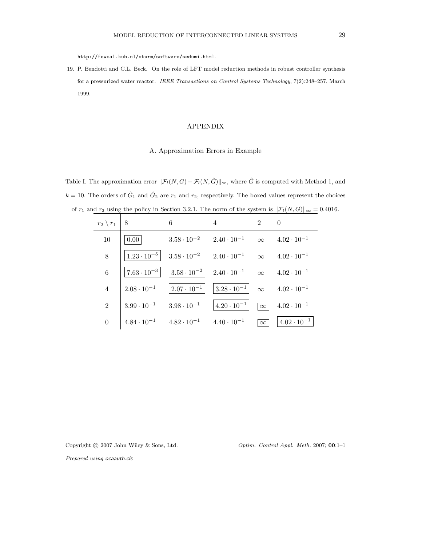http://fewcal.kub.nl/sturm/software/sedumi.html.

19. P. Bendotti and C.L. Beck. On the role of LFT model reduction methods in robust controller synthesis for a pressurized water reactor. IEEE Transactions on Control Systems Technology, 7(2):248–257, March 1999.

### APPENDIX

#### A. Approximation Errors in Example

Table I. The approximation error  $\|\mathcal{F}_l(N, G) - \mathcal{F}_l(N, \hat{G})\|_{\infty}$ , where  $\hat{G}$  is computed with Method 1, and  $k = 10$ . The orders of  $\hat{G}_1$  and  $\hat{G}_2$  are  $r_1$  and  $r_2$ , respectively. The boxed values represent the choices of  $r_1$  and  $r_2$  using the policy in Section 3.2.1. The norm of the system is  $\|\mathcal{F}_l(N, G)\|_{\infty} = 0.4016$ .

| $r_2 \setminus r_1$ | 8                                         | 6                                                                                                           | 4                                                                                                     | $\mathcal{D}$ | $\theta$                                       |
|---------------------|-------------------------------------------|-------------------------------------------------------------------------------------------------------------|-------------------------------------------------------------------------------------------------------|---------------|------------------------------------------------|
| 10                  | $0.00\vert$                               | $3.58 \cdot 10^{-2}$ $2.40 \cdot 10^{-1}$ $\infty$ $4.02 \cdot 10^{-1}$                                     |                                                                                                       |               |                                                |
| 8                   |                                           | $\left  1.23 \cdot 10^{-5} \right $ $3.58 \cdot 10^{-2}$ $2.40 \cdot 10^{-1}$ $\infty$ $4.02 \cdot 10^{-1}$ |                                                                                                       |               |                                                |
| $\,6$               |                                           | $ 7.63 \cdot 10^{-3} $ $ 3.58 \cdot 10^{-2} $ $2.40 \cdot 10^{-1}$ $\infty$ $4.02 \cdot 10^{-1}$            |                                                                                                       |               |                                                |
| $\overline{4}$      | $2.08 \cdot 10^{-1}$                      |                                                                                                             | $\left  2.07 \cdot 10^{-1} \right $ $\left  3.28 \cdot 10^{-1} \right $ $\infty$ $4.02 \cdot 10^{-1}$ |               |                                                |
| $\overline{2}$      | $3.99 \cdot 10^{-1}$ $3.98 \cdot 10^{-1}$ |                                                                                                             | $ 4.20 \cdot 10^{-1} $                                                                                |               | $\boxed{\infty}$ 4.02 $\cdot$ 10 <sup>-1</sup> |
| $\theta$            | $4.84 \cdot 10^{-1}$                      | $4.82 \cdot 10^{-1}$                                                                                        | $4.40 \cdot 10^{-1}$                                                                                  | $\infty$      | $ 4.02 \cdot 10^{-1} $                         |

Copyright © 2007 John Wiley & Sons, Ltd.  $\qquad \qquad \qquad$  Optim. Control Appl. Meth. 2007; 00:1-1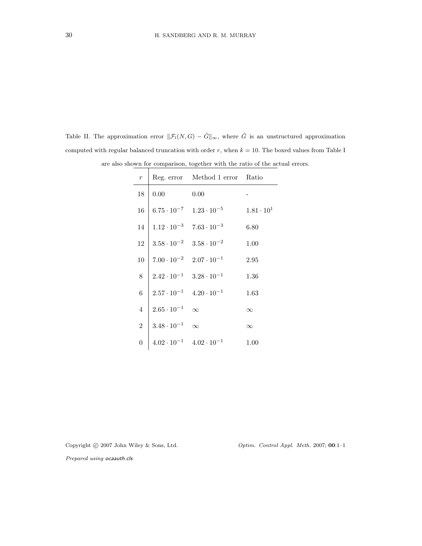Table II. The approximation error  $\|\mathcal{F}_l(N,G) - \hat{G}\|_{\infty}$ , where  $\hat{G}$  is an unstructured approximation computed with regular balanced truncation with order  $r$ , when  $k = 10$ . The boxed values from Table I

| $\boldsymbol{r}$ |                                           | Reg. error Method 1 error Ratio |                     |
|------------------|-------------------------------------------|---------------------------------|---------------------|
| 18               | 0.00                                      | 0.00                            |                     |
| 16               | $6.75 \cdot 10^{-7}$                      | $1.23 \cdot 10^{-5}$            | $1.81 \cdot 10^{1}$ |
| 14               | $1.12 \cdot 10^{-3}$ $7.63 \cdot 10^{-3}$ |                                 | 6.80                |
| 12               | $3.58 \cdot 10^{-2}$ $3.58 \cdot 10^{-2}$ |                                 | 1.00                |
| 10               | $7.00 \cdot 10^{-2}$ $2.07 \cdot 10^{-1}$ |                                 | 2.95                |
| $8\,$            | $2.42 \cdot 10^{-1}$ $3.28 \cdot 10^{-1}$ |                                 | 1.36                |
| 6                | $2.57 \cdot 10^{-1}$ $4.20 \cdot 10^{-1}$ |                                 | 1.63                |
| $\overline{4}$   | $2.65 \cdot 10^{-1}$                      | $\infty$                        | $\infty$            |
| $\overline{2}$   | $3.48 \cdot 10^{-1}$                      | $\infty$                        | $\infty$            |
| $\boldsymbol{0}$ | $4.02 \cdot 10^{-1}$                      | $4.02 \cdot 10^{-1}$            | 1.00                |

are also shown for comparison, together with the ratio of the actual errors.

Copyright © 2007 John Wiley & Sons, Ltd. Optim. Control Appl. Meth. 2007; 00:1-1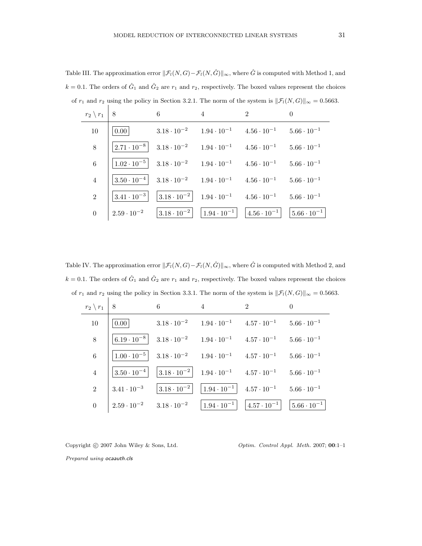Table III. The approximation error  $\|\mathcal{F}_l(N,G)-\mathcal{F}_l(N,\hat G)\|_{\infty}$ , where  $\hat G$  is computed with Method 1, and  $k = 0.1$ . The orders of  $\hat{G}_1$  and  $\hat{G}_2$  are  $r_1$  and  $r_2$ , respectively. The boxed values represent the choices of  $r_1$  and  $r_2$  using the policy in Section 3.2.1. The norm of the system is  $\|\mathcal{F}_l(N, G)\|_{\infty} = 0.5663$ .

| $r_2 \setminus r_1$ | 8                    | 6                                         | 4                                                                                            | $\overline{2}$                            | $\theta$               |
|---------------------|----------------------|-------------------------------------------|----------------------------------------------------------------------------------------------|-------------------------------------------|------------------------|
| 10                  | $0.00\,$             | $3.18 \cdot 10^{-2}$                      |                                                                                              | $1.94 \cdot 10^{-1}$ $4.56 \cdot 10^{-1}$ | $5.66 \cdot 10^{-1}$   |
| 8                   | $2.71 \cdot 10^{-8}$ | $3.18 \cdot 10^{-2}$                      | $1.94 \cdot 10^{-1}$                                                                         | $4.56 \cdot 10^{-1}$                      | $5.66 \cdot 10^{-1}$   |
| $6\phantom{.}6$     | $1.02 \cdot 10^{-5}$ | $3.18 \cdot 10^{-2}$ $1.94 \cdot 10^{-1}$ |                                                                                              | $4.56 \cdot 10^{-1}$                      | $5.66 \cdot 10^{-1}$   |
| $\overline{4}$      | $3.50 \cdot 10^{-4}$ | $3.18 \cdot 10^{-2}$ $1.94 \cdot 10^{-1}$ |                                                                                              | $4.56 \cdot 10^{-1}$                      | $5.66 \cdot 10^{-1}$   |
| 2                   | $3.41 \cdot 10^{-3}$ |                                           | $\begin{vmatrix} 3.18 \cdot 10^{-2} \end{vmatrix}$ $1.94 \cdot 10^{-1}$ $4.56 \cdot 10^{-1}$ |                                           | $5.66 \cdot 10^{-1}$   |
| $\theta$            | $2.59 \cdot 10^{-2}$ | $ 3.18 \cdot 10^{-2} $                    | $\vert 1.94 \cdot 10^{-1} \vert$ $\vert 4.56 \cdot 10^{-1} \vert$                            |                                           | $ 5.66 \cdot 10^{-1} $ |

Table IV. The approximation error  $\|\mathcal{F}_l(N, G) - \mathcal{F}_l(N, \hat{G})\|_{\infty}$ , where  $\hat{G}$  is computed with Method 2, and  $k = 0.1$ . The orders of  $\hat{G}_1$  and  $\hat{G}_2$  are  $r_1$  and  $r_2$ , respectively. The boxed values represent the choices of  $r_1$  and  $r_2$  using the policy in Section 3.3.1. The norm of the system is  $\|\mathcal{F}_l(N, G)\|_{\infty} = 0.5663$ .

| $r_2 \setminus r_1$ | 8                    | 6                                         | 4                                                                | $\overline{2}$         | $\Omega$               |
|---------------------|----------------------|-------------------------------------------|------------------------------------------------------------------|------------------------|------------------------|
| 10                  | $0.00\,$             | $3.18 \cdot 10^{-2}$                      | $1.94 \cdot 10^{-1}$                                             | $4.57 \cdot 10^{-1}$   | $5.66 \cdot 10^{-1}$   |
| $8\,$               | $6.19 \cdot 10^{-8}$ | $3.18 \cdot 10^{-2}$                      | $1.94 \cdot 10^{-1}$                                             | $4.57 \cdot 10^{-1}$   | $5.66 \cdot 10^{-1}$   |
| 6                   | $1.00 \cdot 10^{-5}$ | $3.18 \cdot 10^{-2}$ $1.94 \cdot 10^{-1}$ |                                                                  | $4.57 \cdot 10^{-1}$   | $5.66 \cdot 10^{-1}$   |
| $\overline{4}$      | $3.50 \cdot 10^{-4}$ |                                           | $ 3.18 \cdot 10^{-2} $ $1.94 \cdot 10^{-1}$ $4.57 \cdot 10^{-1}$ |                        | $5.66 \cdot 10^{-1}$   |
| 2                   | $3.41 \cdot 10^{-3}$ | $ 3.18 \cdot 10^{-2} $                    | $ 1.94 \cdot 10^{-1} $ 4.57 $\cdot 10^{-1}$                      |                        | $5.66 \cdot 10^{-1}$   |
| $\theta$            | $2.59 \cdot 10^{-2}$ | $3.18 \cdot 10^{-2}$                      | $ 1.94 \cdot 10^{-1} $                                           | $ 4.57 \cdot 10^{-1} $ | $ 5.66 \cdot 10^{-1} $ |

Copyright © 2007 John Wiley & Sons, Ltd.  $\qquad \qquad \qquad$  Optim. Control Appl. Meth. 2007; 00:1-1